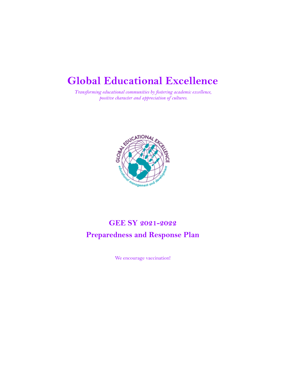# **Global Educational Excellence**

*Transforming educational communities by fostering academic excellence, positive character and appreciation of cultures.*



## **GEE SY 2021-2022 Preparedness and Response Plan**

We encourage vaccination!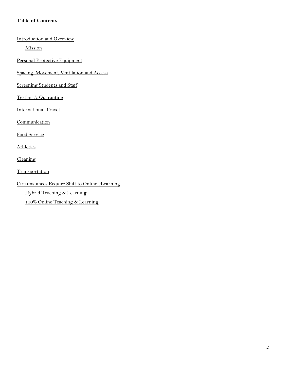## **Table of Contents**

[Introduction](#page-2-0) and Overview [Mission](#page-2-1) Personal Protective [Equipment](#page-2-2) Spacing, [Movement,](#page-3-0) Ventilation and Access [Screening](#page-3-1) Students and Staff Testing & [Quarantine](#page-3-2) [International](#page-5-0) Travel **[Communication](#page-5-1)** Food [Service](#page-5-2) **[Athletics](#page-5-3)** [Cleaning](#page-6-0) **[Transportation](#page-6-1)** [Circumstances](#page-7-0) Require Shift to Online eLearning Hybrid [Teaching](#page-7-1) & Learning 100% Online [Teaching](#page-7-2) & Learning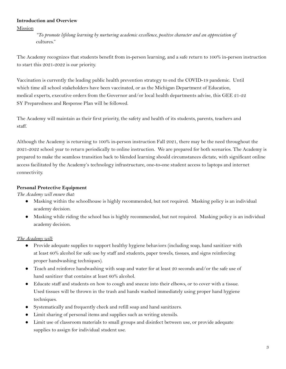#### <span id="page-2-0"></span>**Introduction and Overview**

#### <span id="page-2-1"></span>Mission

*"To promote lifelong learning by nurturing academic excellence, positive character and an appreciation of* cultures."

The Academy recognizes that students benefit from in-person learning, and a safe return to 100% in-person instruction to start this 2021-2022 is our priority.

Vaccination is currently the leading public health prevention strategy to end the COVID-19 pandemic. Until which time all school stakeholders have been vaccinated, or as the Michigan Department of Education, medical experts, executive orders from the Governor and/or local health departments advise, this GEE 21-22 SY Preparedness and Response Plan will be followed.

The Academy will maintain as their first priority, the safety and health of its students, parents, teachers and staff.

Although the Academy is returning to 100% in-person instruction Fall 2021, there may be the need throughout the 2021-2022 school year to return periodically to online instruction. We are prepared for both scenarios. The Academy is prepared to make the seamless transition back to blended learning should circumstances dictate, with significant online access facilitated by the Academy's technology infrastructure, one-to-one student access to laptops and internet connectivity.

#### <span id="page-2-2"></span>**Personal Protective Equipment**

*The Academy will ensure that:*

- Masking within the schoolhouse is highly recommended, but not required. Masking policy is an individual academy decision.
- Masking while riding the school bus is highly recommended, but not required. Masking policy is an individual academy decision.

#### *The Academy will:*

- Provide adequate supplies to support healthy hygiene behaviors (including soap, hand sanitizer with at least 60% alcohol for safe use by staff and students, paper towels, tissues, and signs reinforcing proper handwashing techniques).
- Teach and reinforce handwashing with soap and water for at least 20 seconds and/or the safe use of hand sanitizer that contains at least 60% alcohol.
- Educate staff and students on how to cough and sneeze into their elbows, or to cover with a tissue. Used tissues will be thrown in the trash and hands washed immediately using proper hand hygiene techniques.
- Systematically and frequently check and refill soap and hand sanitizers.
- Limit sharing of personal items and supplies such as writing utensils.
- Limit use of classroom materials to small groups and disinfect between use, or provide adequate supplies to assign for individual student use.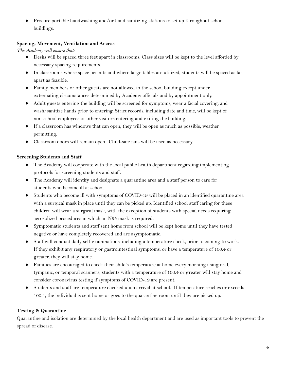Procure portable handwashing and/or hand sanitizing stations to set up throughout school buildings.

#### <span id="page-3-0"></span>**Spacing, Movement, Ventilation and Access**

*The Academy will ensure that:*

- Desks will be spaced three feet apart in classrooms. Class sizes will be kept to the level afforded by necessary spacing requirements.
- In classrooms where space permits and where large tables are utilized, students will be spaced as far apart as feasible.
- Family members or other guests are not allowed in the school building except under extenuating circumstances determined by Academy officials and by appointment only.
- Adult guests entering the building will be screened for symptoms, wear a facial covering, and wash/sanitize hands prior to entering. Strict records, including date and time, will be kept of non-school employees or other visitors entering and exiting the building.
- If a classroom has windows that can open, they will be open as much as possible, weather permitting.
- Classroom doors will remain open. Child-safe fans will be used as necessary.

#### <span id="page-3-1"></span>**Screening Students and Staff**

- The Academy will cooperate with the local public health department regarding implementing protocols for screening students and staff.
- The Academy will identify and designate a quarantine area and a staff person to care for students who become ill at school.
- Students who become ill with symptoms of COVID-19 will be placed in an identified quarantine area with a surgical mask in place until they can be picked up. Identified school staff caring for these children will wear a surgical mask, with the exception of students with special needs requiring aerosolized procedures in which an N95 mask is required.
- Symptomatic students and staff sent home from school will be kept home until they have tested negative or have completely recovered and are asymptomati[c.](https://www.cdc.gov/coronavirus/2019-ncov/if-you-are-sick/end-home-isolation.html?CDC_AA_refVal=https%3A%2F%2Fwww.cdc.gov%2Fcoronavirus%2F2019-ncov%2Fprevent-getting-sick%2Fwhen-its-safe.html)
- Staff will conduct daily self-examinations, including a temperature check, prior to coming to work. If they exhibit any respiratory or gastrointestinal symptoms, or have a temperature of 100.4 or greater, they will stay home.
- Families are encouraged to check their child's temperature at home every morning using oral, tympanic, or temporal scanners; students with a temperature of 100.4 or greater will stay home and consider coronavirus testing if symptoms of COVID-19 are present.
- Students and staff are temperature checked upon arrival at school. If temperature reaches or exceeds 100.4, the individual is sent home or goes to the quarantine room until they are picked up.

#### <span id="page-3-2"></span>**Testing & Quarantine**

Quarantine and isolation are determined by the local health department and are used as important tools to prevent the spread of disease.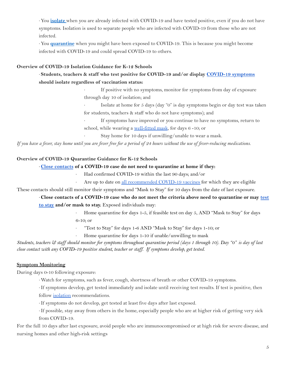· You **[isolate](https://gcc02.safelinks.protection.outlook.com/?url=https%3A%2F%2Flnks.gd%2Fl%2FeyJhbGciOiJIUzI1NiJ9.eyJidWxsZXRpbl9saW5rX2lkIjoxMDEsInVyaSI6ImJwMjpjbGljayIsImJ1bGxldGluX2lkIjoiMjAyMjAxMTAuNTE1ODAxNDEiLCJ1cmwiOiJodHRwczovL3d3dy5jZGMuZ292L2Nvcm9uYXZpcnVzLzIwMTktbmNvdi9jb21tdW5pdHkvc2Nob29scy1jaGlsZGNhcmUvay0xMi1jb250YWN0LXRyYWNpbmcvYWJvdXQtaXNvbGF0aW9uLmh0bWw_dXRtX2NhbXBhaWduPSZ1dG1fbWVkaXVtPWVtYWlsJnV0bV9zb3VyY2U9Z292ZGVsaXZlcnkifQ.ZVMYLGi8NtN1ml_OzVTRTzSkr_-pgpHTx_IDWQ0J0wk%2Fs%2F1803168618%2Fbr%2F124506379299-l&data=04%7C01%7CSchaferM%40michigan.gov%7Cedecf5a1bf384452c4ce08d9d4b77b29%7Cd5fb7087377742ad966a892ef47225d1%7C0%7C0%7C637774706778439646%7CUnknown%7CTWFpbGZsb3d8eyJWIjoiMC4wLjAwMDAiLCJQIjoiV2luMzIiLCJBTiI6Ik1haWwiLCJXVCI6Mn0%3D%7C3000&sdata=v1xgddVni5ExDCH2e04kgIm8qX6WAGIU4oriKiTI%2FTE%3D&reserved=0)** when you are already infected with COVID-19 and have tested positive, even if you do not have symptoms. Isolation is used to separate people who are infected with COVID-19 from those who are not infected.

· You **[quarantine](https://gcc02.safelinks.protection.outlook.com/?url=https%3A%2F%2Flnks.gd%2Fl%2FeyJhbGciOiJIUzI1NiJ9.eyJidWxsZXRpbl9saW5rX2lkIjoxMDIsInVyaSI6ImJwMjpjbGljayIsImJ1bGxldGluX2lkIjoiMjAyMjAxMTAuNTE1ODAxNDEiLCJ1cmwiOiJodHRwczovL3d3dy5jZGMuZ292L2Nvcm9uYXZpcnVzLzIwMTktbmNvdi95b3VyLWhlYWx0aC9xdWFyYW50aW5lLWlzb2xhdGlvbi5odG1sP3V0bV9jYW1wYWlnbj0mdXRtX21lZGl1bT1lbWFpbCZ1dG1fc291cmNlPWdvdmRlbGl2ZXJ5I3F1YXJhbnRpbmUifQ._twewZJxIvxEniq59q5dM6iwmUmxwTTbkEYgi2SFeGw%2Fs%2F1803168618%2Fbr%2F124506379299-l&data=04%7C01%7CSchaferM%40michigan.gov%7Cedecf5a1bf384452c4ce08d9d4b77b29%7Cd5fb7087377742ad966a892ef47225d1%7C0%7C0%7C637774706778439646%7CUnknown%7CTWFpbGZsb3d8eyJWIjoiMC4wLjAwMDAiLCJQIjoiV2luMzIiLCJBTiI6Ik1haWwiLCJXVCI6Mn0%3D%7C3000&sdata=XqCmAbcfi%2FTxrFWF6Q4wZnmWwuIXmC6LlUB%2Bzt3zc1M%3D&reserved=0)** when you might have been exposed to COVID-19. This is because you might become infected with COVID-19 and could spread COVID-19 to others.

#### **Overview of COVID-19 Isolation Guidance for K-12 Schools**

## · **Students, teachers & staff who test positive for COVID-19 and/or display [COVID-19](https://gcc02.safelinks.protection.outlook.com/?url=https%3A%2F%2Flnks.gd%2Fl%2FeyJhbGciOiJIUzI1NiJ9.eyJidWxsZXRpbl9saW5rX2lkIjoxMDMsInVyaSI6ImJwMjpjbGljayIsImJ1bGxldGluX2lkIjoiMjAyMjAxMTAuNTE1ODAxNDEiLCJ1cmwiOiJodHRwczovL3d3dy5jZGMuZ292L2Nvcm9uYXZpcnVzLzIwMTktbmNvdi9zeW1wdG9tcy10ZXN0aW5nL3N5bXB0b21zLmh0bWw_dXRtX2NhbXBhaWduPSZ1dG1fbWVkaXVtPWVtYWlsJnV0bV9zb3VyY2U9Z292ZGVsaXZlcnkifQ.TnrHFAM9I7n3VmngTtN4eb1XxAus5D3FFRha4mHFBnw%2Fs%2F1803168618%2Fbr%2F124506379299-l&data=04%7C01%7CSchaferM%40michigan.gov%7Cedecf5a1bf384452c4ce08d9d4b77b29%7Cd5fb7087377742ad966a892ef47225d1%7C0%7C0%7C637774706778439646%7CUnknown%7CTWFpbGZsb3d8eyJWIjoiMC4wLjAwMDAiLCJQIjoiV2luMzIiLCJBTiI6Ik1haWwiLCJXVCI6Mn0%3D%7C3000&sdata=9E3bfX8ZTyqeHVNL884H0bio5wvGTfICfvlPQfhmlJA%3D&reserved=0) symptoms should isolate regardless of vaccination status:**

If positive with no symptoms, monitor for symptoms from day of exposure through day 10 of isolation; and

Isolate at home for 5 days (day "0" is day symptoms begin or day test was taken for students, teachers & staff who do not have symptoms); and

If symptoms have improved or you continue to have no symptoms, return to school, while wearing a [well-fitted](https://gcc02.safelinks.protection.outlook.com/?url=https%3A%2F%2Flnks.gd%2Fl%2FeyJhbGciOiJIUzI1NiJ9.eyJidWxsZXRpbl9saW5rX2lkIjoxMDQsInVyaSI6ImJwMjpjbGljayIsImJ1bGxldGluX2lkIjoiMjAyMjAxMTAuNTE1ODAxNDEiLCJ1cmwiOiJodHRwczovL3d3dy5taWNoaWdhbi5nb3YvY29yb25hdmlydXMvMCw5NzUzLDctNDA2LTEwMDk5N18xMDA5OTgtLS0sMDAuaHRtbD91dG1fY2FtcGFpZ249JnV0bV9tZWRpdW09ZW1haWwmdXRtX3NvdXJjZT1nb3ZkZWxpdmVyeSJ9.rNJygAa63kOcMUX0yguvYk-zL8z1aUYiiM2LC_NZ1Fc%2Fs%2F1803168618%2Fbr%2F124506379299-l&data=04%7C01%7CSchaferM%40michigan.gov%7Cedecf5a1bf384452c4ce08d9d4b77b29%7Cd5fb7087377742ad966a892ef47225d1%7C0%7C0%7C637774706778439646%7CUnknown%7CTWFpbGZsb3d8eyJWIjoiMC4wLjAwMDAiLCJQIjoiV2luMzIiLCJBTiI6Ik1haWwiLCJXVCI6Mn0%3D%7C3000&sdata=%2FBOT%2F4laoPMYCWIeD%2FMFJV5USGz0Vo7%2F1C0cDIDeTlc%3D&reserved=0) mask, for days 6-10; or

Stay home for 10 days if unwilling/unable to wear a mask.

If you have a fever, stay home until you are fever free for a period of 24 hours without the use of fever-reducing medications.

#### **Overview of COVID-19 Quarantine Guidance for K-12 Schools**

#### ·**Close [contacts](https://gcc02.safelinks.protection.outlook.com/?url=https%3A%2F%2Flnks.gd%2Fl%2FeyJhbGciOiJIUzI1NiJ9.eyJidWxsZXRpbl9saW5rX2lkIjoxMDUsInVyaSI6ImJwMjpjbGljayIsImJ1bGxldGluX2lkIjoiMjAyMjAxMTAuNTE1ODAxNDEiLCJ1cmwiOiJodHRwczovL3d3dy5jZGMuZ292L2Nvcm9uYXZpcnVzLzIwMTktbmNvdi9waHAvY29udGFjdC10cmFjaW5nL2NvbnRhY3QtdHJhY2luZy1wbGFuL2FwcGVuZGl4Lmh0bWw_dXRtX2NhbXBhaWduPSZ1dG1fbWVkaXVtPWVtYWlsJnV0bV9zb3VyY2U9Z292ZGVsaXZlcnkjY29udGFjdCJ9.05U2a6JkbHI7Lc_LZ8nBdnnq8H1TFSJ4DvVStrdCeqM%2Fs%2F1803168618%2Fbr%2F124506379299-l&data=04%7C01%7CSchaferM%40michigan.gov%7Cedecf5a1bf384452c4ce08d9d4b77b29%7Cd5fb7087377742ad966a892ef47225d1%7C0%7C0%7C637774706778439646%7CUnknown%7CTWFpbGZsb3d8eyJWIjoiMC4wLjAwMDAiLCJQIjoiV2luMzIiLCJBTiI6Ik1haWwiLCJXVCI6Mn0%3D%7C3000&sdata=fwISu2yf8dPyPnh237hDlv8dTtQl6jK2pGwzhwrnQtI%3D&reserved=0) of a COVID-19 case do not need to quarantine at home if they:**

- Had confirmed COVID-19 within the last 90 days; and/or
- Are up to date on all [recommended](https://gcc02.safelinks.protection.outlook.com/?url=https%3A%2F%2Flnks.gd%2Fl%2FeyJhbGciOiJIUzI1NiJ9.eyJidWxsZXRpbl9saW5rX2lkIjoxMDYsInVyaSI6ImJwMjpjbGljayIsImJ1bGxldGluX2lkIjoiMjAyMjAxMTAuNTE1ODAxNDEiLCJ1cmwiOiJodHRwczovL3d3dy5jZGMuZ292L2Nvcm9uYXZpcnVzLzIwMTktbmNvdi92YWNjaW5lcy9zdGF5LXVwLXRvLWRhdGUuaHRtbD91dG1fY2FtcGFpZ249JnV0bV9tZWRpdW09ZW1haWwmdXRtX3NvdXJjZT1nb3ZkZWxpdmVyeSJ9.RL0gysMX0E9yOYejyZ7KGmNu6GK3pPu-CqsveA6vj2g%2Fs%2F1803168618%2Fbr%2F124506379299-l&data=04%7C01%7CSchaferM%40michigan.gov%7Cedecf5a1bf384452c4ce08d9d4b77b29%7Cd5fb7087377742ad966a892ef47225d1%7C0%7C0%7C637774706778439646%7CUnknown%7CTWFpbGZsb3d8eyJWIjoiMC4wLjAwMDAiLCJQIjoiV2luMzIiLCJBTiI6Ik1haWwiLCJXVCI6Mn0%3D%7C3000&sdata=227MbpNOazSQBHxsEAFvIo5hD3F7VZxIbVceAGBIDcI%3D&reserved=0) COVID-19 vaccines for which they are eligible

These contacts should still monitor their symptoms and "Mask to Stay" for 10 days from the date of last exposure.

· Close contacts of a COVID-19 case who do not meet the criteria above need to quarantine or may [test](https://gcc02.safelinks.protection.outlook.com/?url=https%3A%2F%2Flnks.gd%2Fl%2FeyJhbGciOiJIUzI1NiJ9.eyJidWxsZXRpbl9saW5rX2lkIjoxMDgsInVyaSI6ImJwMjpjbGljayIsImJ1bGxldGluX2lkIjoiMjAyMjAxMTAuNTE1ODAxNDEiLCJ1cmwiOiJodHRwczovL3d3dy5jZGMuZ292L21lZGlhL3JlbGVhc2VzLzIwMjEvczEyMTctVGVzdC1Uby1TdGF5Lmh0bWw_dXRtX2NhbXBhaWduPSZ1dG1fbWVkaXVtPWVtYWlsJnV0bV9zb3VyY2U9Z292ZGVsaXZlcnkifQ.5Tzd8hHb-3T16hl0_tE0V75mm_czz8bOtbvx-NyxNFM%2Fs%2F1803168618%2Fbr%2F124506379299-l&data=04%7C01%7CSchaferM%40michigan.gov%7Cedecf5a1bf384452c4ce08d9d4b77b29%7Cd5fb7087377742ad966a892ef47225d1%7C0%7C0%7C637774706778439646%7CUnknown%7CTWFpbGZsb3d8eyJWIjoiMC4wLjAwMDAiLCJQIjoiV2luMzIiLCJBTiI6Ik1haWwiLCJXVCI6Mn0%3D%7C3000&sdata=Ahkf%2BoFyZJAh0VLKkq4apbqh%2BH%2BwW0SW8J%2Fi6KutG3Q%3D&reserved=0) **to [stay](https://gcc02.safelinks.protection.outlook.com/?url=https%3A%2F%2Flnks.gd%2Fl%2FeyJhbGciOiJIUzI1NiJ9.eyJidWxsZXRpbl9saW5rX2lkIjoxMDgsInVyaSI6ImJwMjpjbGljayIsImJ1bGxldGluX2lkIjoiMjAyMjAxMTAuNTE1ODAxNDEiLCJ1cmwiOiJodHRwczovL3d3dy5jZGMuZ292L21lZGlhL3JlbGVhc2VzLzIwMjEvczEyMTctVGVzdC1Uby1TdGF5Lmh0bWw_dXRtX2NhbXBhaWduPSZ1dG1fbWVkaXVtPWVtYWlsJnV0bV9zb3VyY2U9Z292ZGVsaXZlcnkifQ.5Tzd8hHb-3T16hl0_tE0V75mm_czz8bOtbvx-NyxNFM%2Fs%2F1803168618%2Fbr%2F124506379299-l&data=04%7C01%7CSchaferM%40michigan.gov%7Cedecf5a1bf384452c4ce08d9d4b77b29%7Cd5fb7087377742ad966a892ef47225d1%7C0%7C0%7C637774706778439646%7CUnknown%7CTWFpbGZsb3d8eyJWIjoiMC4wLjAwMDAiLCJQIjoiV2luMzIiLCJBTiI6Ik1haWwiLCJXVCI6Mn0%3D%7C3000&sdata=Ahkf%2BoFyZJAh0VLKkq4apbqh%2BH%2BwW0SW8J%2Fi6KutG3Q%3D&reserved=0) and/or mask to stay.** Exposed individuals may:

> Home quarantine for days 1-5, if feasible test on day 5, AND "Mask to Stay" for days 6-10; or

· "Test to Stay" for days 1-6 AND "Mask to Stay" for days 1-10; or

Home quarantine for days 1-10 if unable/unwilling to mask

Students, teachers & staff should monitor for symptoms throughout quarantine period (days 1 through 10). Day "O" is day of last *close contact with any COVID-19 positive student, teacher or staf* . *If symptoms develop, get tested.*

#### **Symptom Monitoring**

During days 0-10 following exposure:

·Watch for symptoms, such as fever, cough, shortness of breath or other COVID-19 symptoms.

·If symptoms develop, get tested immediately and isolate until receiving test results. If test is positive, then follow [isolation](https://gcc02.safelinks.protection.outlook.com/?url=https%3A%2F%2Flnks.gd%2Fl%2FeyJhbGciOiJIUzI1NiJ9.eyJidWxsZXRpbl9saW5rX2lkIjoxMTAsInVyaSI6ImJwMjpjbGljayIsImJ1bGxldGluX2lkIjoiMjAyMjAxMTAuNTE1ODAxNDEiLCJ1cmwiOiJodHRwczovL3d3dy5jZGMuZ292L2Nvcm9uYXZpcnVzLzIwMTktbmNvdi9jb21tdW5pdHkvc2Nob29scy1jaGlsZGNhcmUvay0xMi1jb250YWN0LXRyYWNpbmcvYWJvdXQtaXNvbGF0aW9uLmh0bWw_dXRtX2NhbXBhaWduPSZ1dG1fbWVkaXVtPWVtYWlsJnV0bV9zb3VyY2U9Z292ZGVsaXZlcnkifQ.Z_JbyT9JyYniTHhAYZ8oabMlSk2WeFPOUz8khFXpl00%2Fs%2F1803168618%2Fbr%2F124506379299-l&data=04%7C01%7CSchaferM%40michigan.gov%7Cedecf5a1bf384452c4ce08d9d4b77b29%7Cd5fb7087377742ad966a892ef47225d1%7C0%7C0%7C637774706778439646%7CUnknown%7CTWFpbGZsb3d8eyJWIjoiMC4wLjAwMDAiLCJQIjoiV2luMzIiLCJBTiI6Ik1haWwiLCJXVCI6Mn0%3D%7C3000&sdata=0K0IQ%2FHV0G6x7jKS1qPUoVzlv5E%2F%2F6r4Rhw6dZnCyJk%3D&reserved=0) recommendations.

·If symptoms do not develop, get tested at least five days after last exposed.

·If possible, stay away from others in the home, especially people who are at higher risk of getting very sick from COVID-19.

For the full 10 days after last exposure, avoid people who are immunocompromised or at high risk for severe disease, and nursing homes and other high-risk settings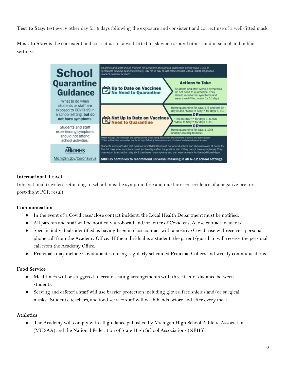**Test to Stay:** test every other day for 6 days following the exposure and consistent and correct use of a well-fitted mask.

**Mask to Stay:** is the consistent and correct use of a well-fitted mask when around others and in school and public settings.



## <span id="page-5-0"></span>**International Travel**

International travelers returning to school must be symptom free and must present evidence of a negative pre- or post-flight PCR result.

#### <span id="page-5-1"></span>**Communication**

- In the event of a Covid case/close contact incident, the Local Health Department must be notified.
- All parents and staff will be notified via robocall and/or letter of Covid case/close contact incidents.
- Specific individuals identified as having been in close contact with a positive Covid case will receive a personal phone call from the Academy Office. If the individual is a student, the parent/guardian will receive the personal call from the Academy Office.
- Principals may include Covid updates during regularly scheduled Principal Coffees and weekly communications.

#### <span id="page-5-2"></span>**Food Service**

- Meal times will be staggered to create seating arrangements with three feet of distance between students.
- Serving and cafeteria staff will use barrier protection including gloves, face shields and/or surgical masks. Students, teachers, and food service staff will wash hands before and after every meal.

#### <span id="page-5-3"></span>**Athletics**

• The Academy will comply with all guidance published by Michigan High School Athletic Association (MHSAA) and the National Federation of State High School Associations (NFHS).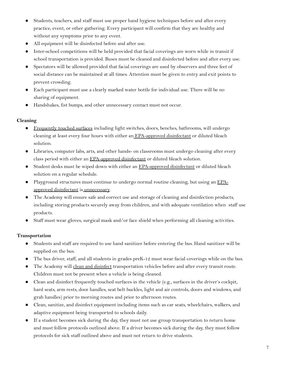- Students, teachers, and staff must use proper hand hygiene techniques before and after every practice, event, or other gathering. Every participant will confirm that they are healthy and without any symptoms prior to any event.
- All equipment will be disinfected before and after use.
- Inter-school competitions will be held provided that facial coverings are worn while in transit if school transportation is provided. Buses must be cleaned and disinfected before and after every use.
- Spectators will be allowed provided that facial coverings are used by observers and three feet of social distance can be maintained at all times. Attention must be given to entry and exit points to prevent crowding.
- Each participant must use a clearly marked water bottle for individual use. There will be no sharing of equipment.
- Handshakes, fist bumps, and other unnecessary contact must not occur.

#### <span id="page-6-0"></span>**Cleaning**

- [Frequently](https://www.cdc.gov/coronavirus/2019-ncov/community/schools-childcare/schools.html) touched surfaces including light switches, doors, benches, bathrooms, will undergo cleaning at least every four hours with either an [EPA-approved](https://www.epa.gov/pesticide-registration/list-n-disinfectants-use-against-sars-cov-2-covid-19) disinfectant or diluted bleach solution.
- Libraries, computer labs, arts, and other hands- on classrooms must undergo cleaning after every class period with either an [EPA-approved](https://www.epa.gov/pesticide-registration/list-n-disinfectants-use-against-sars-cov-2-covid-19) disinfectant or diluted bleach solution.
- Student desks must be wiped down with either an [EPA-approved](https://www.epa.gov/pesticide-registration/list-n-disinfectants-use-against-sars-cov-2-covid-19) disinfectant or diluted bleach solution on a regular schedule.
- Playground structures must continue to undergo normal routine cleaning, but using an [EPA](https://www.epa.gov/pesticide-registration/list-n-disinfectants-use-against-sars-cov-2-covid-19)approved [disinfectant](https://www.epa.gov/pesticide-registration/list-n-disinfectants-use-against-sars-cov-2-covid-19) is [unnecessary.](https://www.cdc.gov/coronavirus/2019-ncov/community/disinfecting-building-facility.html)
- The Academy will ensure safe and correct use and storage of cleaning and disinfection products, including storing products securely away from children, and with adequate ventilation when staff use products.
- Staff must wear gloves, surgical mask and/or face shield when performing all cleaning activities.

#### <span id="page-6-1"></span>**Transportation**

- Students and staff are required to use hand sanitizer before entering the bus. Hand sanitizer will be supplied on the bus.
- The bus driver, staff, and all students in grades preK-12 must wear facial coverings while on the bus.
- **•** The Academy will clean and [disinfect](https://www.cdc.gov/coronavirus/2019-ncov/community/organizations/cleaning-disinfection.html) transportation vehicles before and after every transit route. Children must not be present when a vehicle is being cleaned.
- Clean and disinfect frequently touched surfaces in the vehicle (e.g., surfaces in the driver's cockpit, hard seats, arm rests, door handles, seat belt buckles, light and air controls, doors and windows, and grab handles) prior to morning routes and prior to afternoon routes.
- Clean, sanitize, and disinfect equipment including items such as car seats, wheelchairs, walkers, and adaptive equipment being transported to schools daily.
- If a student becomes sick during the day, they must not use group transportation to return home and must follow protocols outlined above. If a driver becomes sick during the day, they must follow protocols for sick staff outlined above and must not return to drive students.